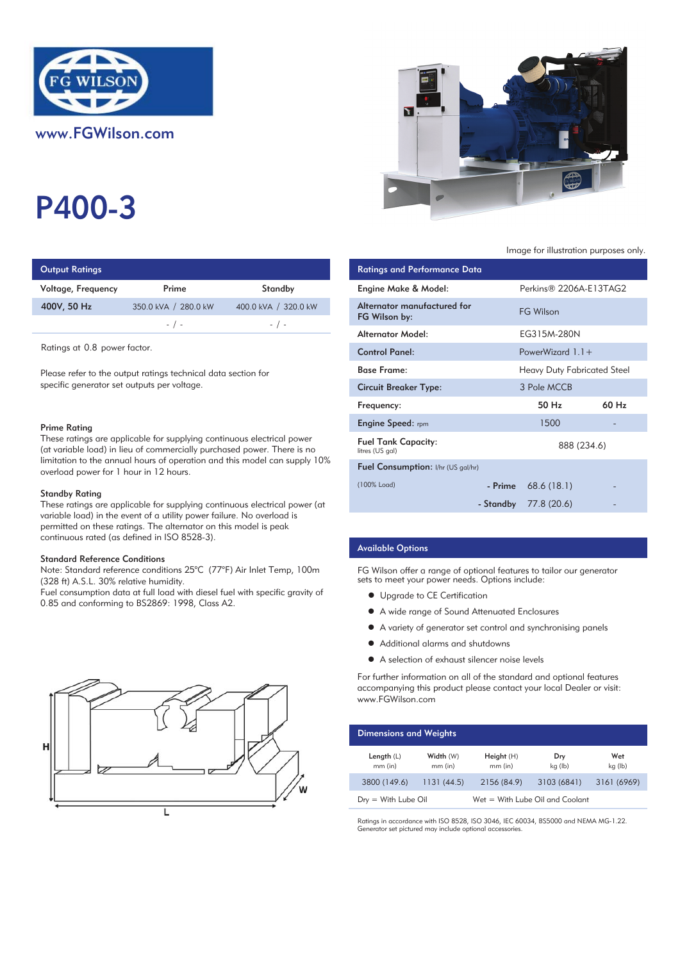

# P400-3

| <b>Output Ratings</b> |                      |                      | <b>Ratings and Performance Data</b> |
|-----------------------|----------------------|----------------------|-------------------------------------|
| Voltage, Frequency    | Prime                | Standby              | Engine Make & Model:                |
| 400V, 50 Hz           | 350.0 kVA / 280.0 kW | 400.0 kVA / 320.0 kW | Alternator manufactured for         |
|                       | $-$ / $-$            | $-$ / $-$            | FG Wilson by:                       |
|                       |                      |                      | Altoupotau AAndal:                  |

Ratings at 0.8 power factor.

Please refer to the output ratings technical data section for specific generator set outputs per voltage.

#### Prime Rating

These ratings are applicable for supplying continuous electrical power (at variable load) in lieu of commercially purchased power. There is no limitation to the annual hours of operation and this model can supply 10% overload power for 1 hour in 12 hours.

#### Standby Rating

These ratings are applicable for supplying continuous electrical power (at variable load) in the event of a utility power failure. No overload is permitted on these ratings. The alternator on this model is peak continuous rated (as defined in ISO 8528-3).

#### Standard Reference Conditions

Note: Standard reference conditions 25°C (77°F) Air Inlet Temp, 100m (328 ft) A.S.L. 30% relative humidity.

Fuel consumption data at full load with diesel fuel with specific gravity of 0.85 and conforming to BS2869: 1998, Class A2.





#### Image for illustration purposes only.

| <b>Ratings and Performance Data</b>           |                       |                    |                             |
|-----------------------------------------------|-----------------------|--------------------|-----------------------------|
| Engine Make & Model:                          |                       |                    | Perkins® 2206A-E13TAG2      |
| Alternator manufactured for<br>FG Wilson by:  |                       | <b>FG Wilson</b>   |                             |
| Alternator Model:                             |                       | EG315M-280N        |                             |
| <b>Control Panel:</b>                         |                       | PowerWizard $1.1+$ |                             |
| <b>Base Frame:</b>                            |                       |                    | Heavy Duty Fabricated Steel |
| <b>Circuit Breaker Type:</b>                  |                       | 3 Pole MCCB        |                             |
| Frequency:                                    |                       | 50 H <sub>z</sub>  | 60 H <sub>z</sub>           |
| <b>Engine Speed:</b> rpm                      |                       | 1500               |                             |
| <b>Fuel Tank Capacity:</b><br>litres (US gal) |                       |                    | 888 (234.6)                 |
| <b>Fuel Consumption:</b> I/hr (US gal/hr)     |                       |                    |                             |
| (100% Load)                                   | $-$ Prime 68.6 (18.1) |                    |                             |
|                                               | - Standby 77.8 (20.6) |                    |                             |

## Available Options

FG Wilson offer a range of optional features to tailor our generator sets to meet your power needs. Options include:

- **•** Upgrade to CE Certification
- A wide range of Sound Attenuated Enclosures
- A variety of generator set control and synchronising panels
- Additional alarms and shutdowns
- A selection of exhaust silencer noise levels

For further information on all of the standard and optional features accompanying this product please contact your local Dealer or visit: www.FGWilson.com

| <b>Dimensions and Weights</b> |                        |                                 |                |                |
|-------------------------------|------------------------|---------------------------------|----------------|----------------|
| Length $(L)$<br>$mm$ (in)     | Width (W)<br>$mm$ (in) | Height(H)<br>$mm$ (in)          | Dry<br>kg (lb) | Wet<br>kg (lb) |
| 3800 (149.6)                  | 1131(44.5)             | 2156 (84.9)                     | 3103 (6841)    | 3161 (6969)    |
| $Drv = With Lube Oil$         |                        | Wet = With Lube Oil and Coolant |                |                |

Ratings in accordance with ISO 8528, ISO 3046, IEC 60034, BS5000 and NEMA MG-1.22. Generator set pictured may include optional accessories.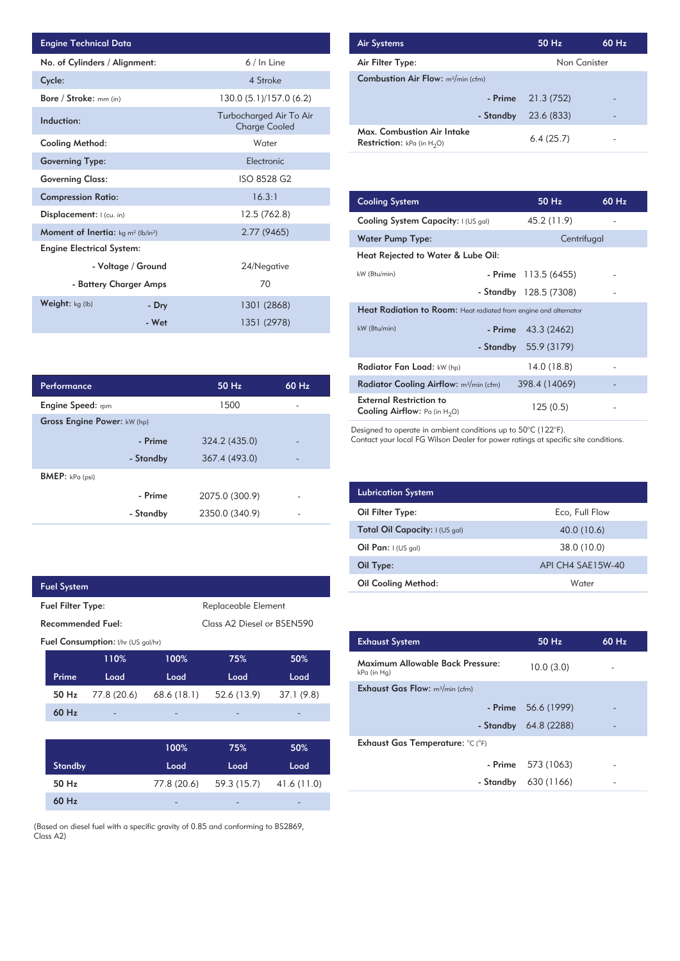| <b>Engine Technical Data</b>                                |                    |                                                 | <b>Air Systems</b>  |
|-------------------------------------------------------------|--------------------|-------------------------------------------------|---------------------|
| No. of Cylinders / Alignment:                               |                    | 6 / In Line                                     | Air Filter Ty       |
| Cycle:                                                      |                    | 4 Stroke                                        | Combustior          |
| Bore / Stroke: mm (in)                                      |                    | 130.0 (5.1)/157.0 (6.2)                         |                     |
| Induction:                                                  |                    | Turbocharged Air To Air<br><b>Charge Cooled</b> | Max. Comb           |
| Cooling Method:                                             |                    | Water                                           | <b>Restriction:</b> |
| <b>Governing Type:</b>                                      |                    | Electronic                                      |                     |
| <b>Governing Class:</b>                                     |                    | ISO 8528 G2                                     |                     |
| <b>Compression Ratio:</b>                                   |                    | 16.3:1                                          | <b>Cooling Sys</b>  |
| Displacement:   (cu. in)                                    |                    | 12.5 (762.8)                                    | <b>Cooling Sys</b>  |
| <b>Moment of Inertia:</b> $kg \, m^2$ (lb/in <sup>2</sup> ) |                    | 2.77 (9465)                                     | Water Pum           |
| <b>Engine Electrical System:</b>                            |                    |                                                 | <b>Heat Reject</b>  |
|                                                             | - Voltage / Ground | 24/Negative                                     |                     |
| - Battery Charger Amps                                      |                    | 70                                              | kW (Btu/min)        |
| Weight: kg (lb)                                             | - Dry              | 1301 (2868)                                     | <b>Heat Radia</b>   |
|                                                             | - Wet              | 1351 (2978)                                     | kW (Btu/min)        |

- -

Replaceable Element

2075.0 (300.9) -

324.2 (435.0) 367.4 (493.0)

2350.0 (340.9) -

Engine Speed: rpm Performance

BMEP: kPa (psi)

Fuel System

Fuel Filter Type:

Gross Engine Power: kW (hp)

- Standby - Prime

- Standby - Prime

| <b>Air Systems</b>                                                 | $50$ Hz               | $60$ Hz |
|--------------------------------------------------------------------|-----------------------|---------|
| Air Filter Type:                                                   | Non Canister          |         |
| <b>Combustion Air Flow:</b> m <sup>3</sup> /min (cfm)              |                       |         |
|                                                                    | $-$ Prime $21.3(752)$ |         |
| - Standby                                                          | 23.6 (833)            |         |
| Max. Combustion Air Intake<br><b>Restriction:</b> kPa (in $H_2O$ ) | 6.4(25.7)             |         |

| 16.3:1         | <b>Cooling System</b>                                                     | 50 Hz                  | 60 Hz |
|----------------|---------------------------------------------------------------------------|------------------------|-------|
| 12.5 (762.8)   | Cooling System Capacity: I (US gal)                                       | 45.2 (11.9)            |       |
| 2.77 (9465)    | <b>Water Pump Type:</b>                                                   | Centrifugal            |       |
|                | Heat Rejected to Water & Lube Oil:                                        |                        |       |
| 24/Negative    | kW (Btu/min)                                                              | $-$ Prime 113.5 (6455) |       |
| 70             |                                                                           | - Standby 128.5 (7308) |       |
| 1301 (2868)    | <b>Heat Radiation to Room:</b> Heat radiated from engine and alternator   |                        |       |
| 1351 (2978)    | kW (Btu/min)<br>- Prime                                                   | 43.3 (2462)            |       |
|                | - Standby                                                                 | 55.9 (3179)            |       |
|                | Radiator Fan Load: kW (hp)                                                | 14.0 (18.8)            |       |
| 60 Hz<br>50 Hz | Radiator Cooling Airflow: m <sup>3</sup> /min (cfm)                       | 398.4 (14069)          |       |
| 1500           | <b>External Restriction to</b><br><b>Cooling Airflow:</b> Pa (in $H_2O$ ) | 125(0.5)               |       |

Designed to operate in ambient conditions up to 50°C (122°F).

Contact your local FG Wilson Dealer for power ratings at specific site conditions.

| <b>Lubrication System</b>      |                   |
|--------------------------------|-------------------|
| Oil Filter Type:               | Eco, Full Flow    |
| Total Oil Capacity: I (US gal) | 40.0 (10.6)       |
| Oil Pan: $I (US gal)$          | 38.0 (10.0)       |
| Oil Type:                      | API CH4 SAE15W-40 |
| <b>Oil Cooling Method:</b>     | Water             |

| <b>Exhaust System</b>                           | $50$ Hz                | 60 Hz |
|-------------------------------------------------|------------------------|-------|
| Maximum Allowable Back Pressure:<br>kPa (in Hg) | 10.0(3.0)              |       |
| <b>Exhaust Gas Flow:</b> $m^3/m$ in (cfm)       |                        |       |
|                                                 | - Prime 56.6 (1999)    |       |
|                                                 | - Standby $64.8(2288)$ |       |
| Exhaust Gas Temperature: °C (°F)                |                        |       |
|                                                 | - Prime 573 (1063)     |       |
| - Standby                                       | 630 (1166)             |       |
|                                                 |                        |       |

| Recommended Fuel:                         |       |             | Class A <sub>2</sub> Diesel or BSEN590 |             |           |
|-------------------------------------------|-------|-------------|----------------------------------------|-------------|-----------|
| <b>Fuel Consumption:</b> I/hr (US gal/hr) |       |             |                                        |             |           |
|                                           |       | 110%        | 100%                                   | 75%         | 50%       |
|                                           | Prime | Load        | Load                                   | Load        | Load      |
|                                           | 50 Hz | 77.8 (20.6) | 68.6 (18.1)                            | 52.6 (13.9) | 37.1(9.8) |
|                                           | 60 Hz |             |                                        |             |           |
|                                           |       |             |                                        |             |           |

|                | 100%        | 75%         | 50%                      |
|----------------|-------------|-------------|--------------------------|
| <b>Standby</b> | Load        | Load        | Load                     |
| 50 Hz          | 77.8 (20.6) | 59.3 (15.7) | 41.6 (11.0)              |
| $60$ Hz        | -           | -           | $\overline{\phantom{0}}$ |

(Based on diesel fuel with a specific gravity of 0.85 and conforming to BS2869, Class A2)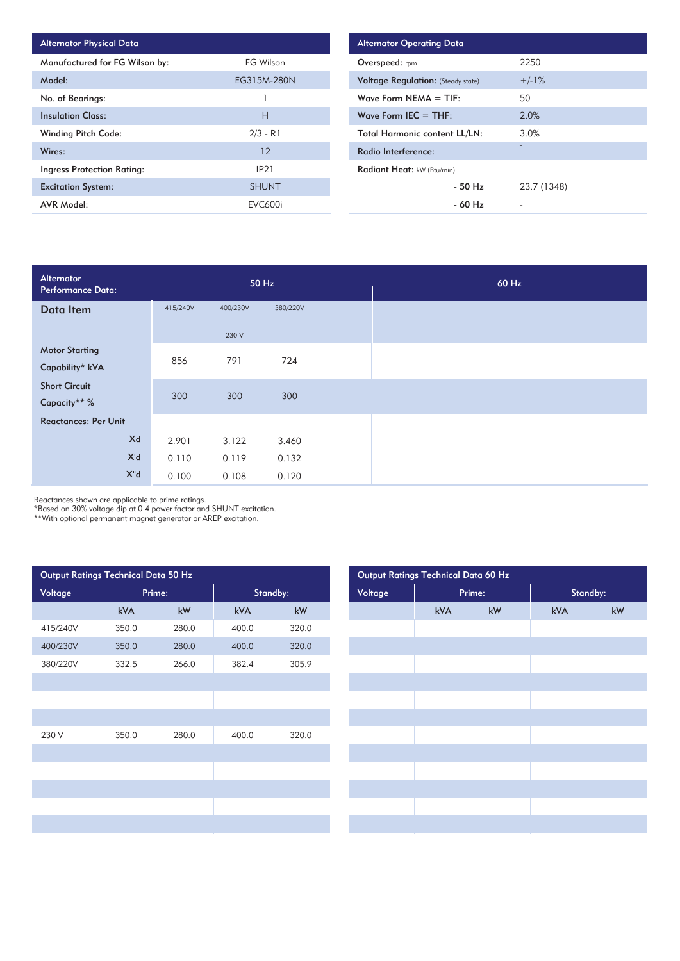| <b>Alternator Physical Data</b> |                   |
|---------------------------------|-------------------|
| Manufactured for FG Wilson by:  | FG Wilson         |
| Model:                          | EG315M-280N       |
| No. of Bearings:                |                   |
| <b>Insulation Class:</b>        | Н                 |
| <b>Winding Pitch Code:</b>      | $2/3 - R1$        |
| Wires:                          | 12                |
| Ingress Protection Rating:      | IP <sub>2</sub> 1 |
| <b>Excitation System:</b>       | <b>SHUNT</b>      |
| <b>AVR Model:</b>               | <b>EVC600i</b>    |

| <b>Alternator Operating Data</b>          |             |
|-------------------------------------------|-------------|
| Overspeed: rpm                            | 2250        |
| <b>Voltage Regulation:</b> (Steady state) | $+/-1%$     |
| Wave Form $NEMA = TIF$ :                  | 50          |
| Wave Form IEC $=$ THF:                    | 2.0%        |
| <b>Total Harmonic content LL/LN:</b>      | 3.0%        |
| Radio Interference:                       | ٠           |
| Radiant Heat: kW (Btu/min)                |             |
| - 50 Hz                                   | 23.7 (1348) |
| $-60$ Hz                                  |             |

| Alternator<br>Performance Data: | 50 Hz    |          |          | 60 Hz |
|---------------------------------|----------|----------|----------|-------|
| Data Item                       | 415/240V | 400/230V | 380/220V |       |
|                                 |          | 230 V    |          |       |
| <b>Motor Starting</b>           | 856      | 791      | 724      |       |
| Capability* kVA                 |          |          |          |       |
| <b>Short Circuit</b>            |          |          |          |       |
| Capacity** %                    | 300      | 300      | 300      |       |
| <b>Reactances: Per Unit</b>     |          |          |          |       |
| Xd                              | 2.901    | 3.122    | 3.460    |       |
| X'd                             | 0.110    | 0.119    | 0.132    |       |
| $X^{\mathsf{H}}$ d              | 0.100    | 0.108    | 0.120    |       |

Reactances shown are applicable to prime ratings.

\*Based on 30% voltage dip at 0.4 power factor and SHUNT excitation.

\*\*With optional permanent magnet generator or AREP excitation.